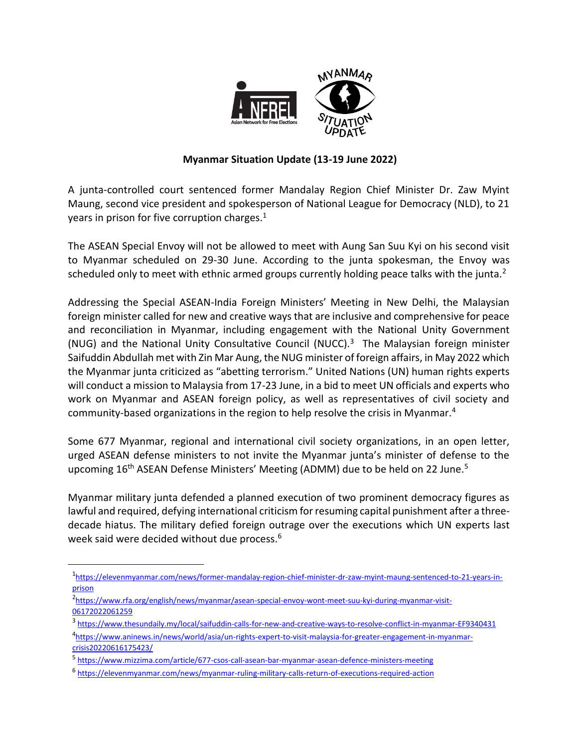

## **Myanmar Situation Update (13-19 June 2022)**

A junta-controlled court sentenced former Mandalay Region Chief Minister Dr. Zaw Myint Maung, second vice president and spokesperson of National League for Democracy (NLD), to 21 years in prison for five corruption charges. $1$ 

The ASEAN Special Envoy will not be allowed to meet with Aung San Suu Kyi on his second visit to Myanmar scheduled on 29-30 June. According to the junta spokesman, the Envoy was scheduled only to meet with ethnic armed groups currently holding peace talks with the junta.<sup>2</sup>

Addressing the Special ASEAN-India Foreign Ministers' Meeting in New Delhi, the Malaysian foreign minister called for new and creative ways that are inclusive and comprehensive for peace and reconciliation in Myanmar, including engagement with the National Unity Government (NUG) and the National Unity Consultative Council (NUCC).<sup>3</sup> The Malaysian foreign minister Saifuddin Abdullah met with Zin Mar Aung, the NUG minister of foreign affairs, in May 2022 which the Myanmar junta criticized as "abetting terrorism." United Nations (UN) human rights experts will conduct a mission to Malaysia from 17-23 June, in a bid to meet UN officials and experts who work on Myanmar and ASEAN foreign policy, as well as representatives of civil society and community-based organizations in the region to help resolve the crisis in Myanmar.<sup>4</sup>

Some 677 Myanmar, regional and international civil society organizations, in an open letter, urged ASEAN defense ministers to not invite the Myanmar junta's minister of defense to the upcoming 16<sup>th</sup> ASEAN Defense Ministers' Meeting (ADMM) due to be held on 22 June.<sup>5</sup>

Myanmar military junta defended a planned execution of two prominent democracy figures as lawful and required, defying international criticism for resuming capital punishment after a threedecade hiatus. The military defied foreign outrage over the executions which UN experts last week said were decided without due process.<sup>6</sup>

 $\overline{\phantom{a}}$ 

<sup>1</sup> [https://elevenmyanmar.com/news/former-mandalay-region-chief-minister-dr-zaw-myint-maung-sentenced-to-21-years-in](https://elevenmyanmar.com/news/former-mandalay-region-chief-minister-dr-zaw-myint-maung-sentenced-to-21-years-in-prison-for-5)[prison](https://elevenmyanmar.com/news/former-mandalay-region-chief-minister-dr-zaw-myint-maung-sentenced-to-21-years-in-prison-for-5)

<sup>2</sup> [https://www.rfa.org/english/news/myanmar/asean-special-envoy-wont-meet-suu-kyi-during-myanmar-visit-](https://www.rfa.org/english/news/myanmar/asean-special-envoy-wont-meet-suu-kyi-during-myanmar-visit-06172022061259.html)[06172022061259](https://www.rfa.org/english/news/myanmar/asean-special-envoy-wont-meet-suu-kyi-during-myanmar-visit-06172022061259.html)

<sup>&</sup>lt;sup>3</sup> <https://www.thesundaily.my/local/saifuddin-calls-for-new-and-creative-ways-to-resolve-conflict-in-myanmar-EF9340431>

<sup>4</sup> [https://www.aninews.in/news/world/asia/un-rights-expert-to-visit-malaysia-for-greater-engagement-in-myanmar](https://www.aninews.in/news/world/asia/un-rights-expert-to-visit-malaysia-for-greater-engagement-in-myanmar-crisis20220616175423/)[crisis20220616175423/](https://www.aninews.in/news/world/asia/un-rights-expert-to-visit-malaysia-for-greater-engagement-in-myanmar-crisis20220616175423/)

<sup>&</sup>lt;sup>5</sup> <https://www.mizzima.com/article/677-csos-call-asean-bar-myanmar-asean-defence-ministers-meeting>

<sup>6</sup> <https://elevenmyanmar.com/news/myanmar-ruling-military-calls-return-of-executions-required-action>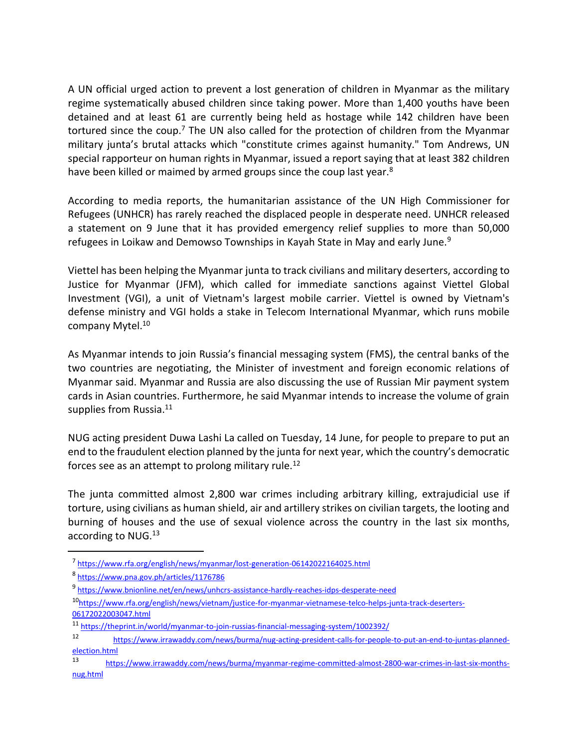A UN official urged action to prevent a lost generation of children in Myanmar as the military regime systematically abused children since taking power. More than 1,400 youths have been detained and at least 61 are currently being held as hostage while 142 children have been tortured since the coup.<sup>7</sup> The UN also called for the protection of children from the Myanmar military junta's brutal attacks which "constitute crimes against humanity." Tom Andrews, UN special rapporteur on human rights in Myanmar, issued a report saying that at least 382 children have been killed or maimed by armed groups since the coup last year.<sup>8</sup>

According to media reports, the humanitarian assistance of the UN High Commissioner for Refugees (UNHCR) has rarely reached the displaced people in desperate need. UNHCR released a statement on 9 June that it has provided emergency relief supplies to more than 50,000 refugees in Loikaw and Demowso Townships in Kayah State in May and early June.<sup>9</sup>

Viettel has been helping the Myanmar junta to track civilians and military deserters, according to Justice for Myanmar (JFM), which called for immediate sanctions against Viettel Global Investment (VGI), a unit of Vietnam's largest mobile carrier. Viettel is owned by Vietnam's defense ministry and VGI holds a stake in Telecom International Myanmar, which runs mobile company Mytel.<sup>10</sup>

As Myanmar intends to join Russia's financial messaging system (FMS), the central banks of the two countries are negotiating, the Minister of investment and foreign economic relations of Myanmar said. Myanmar and Russia are also discussing the use of Russian Mir payment system cards in Asian countries. Furthermore, he said Myanmar intends to increase the volume of grain supplies from Russia.<sup>11</sup>

NUG acting president Duwa Lashi La called on Tuesday, 14 June, for people to prepare to put an end to the fraudulent election planned by the junta for next year, which the country's democratic forces see as an attempt to prolong military rule.<sup>12</sup>

The junta committed almost 2,800 war crimes including arbitrary killing, extrajudicial use if torture, using civilians as human shield, air and artillery strikes on civilian targets, the looting and burning of houses and the use of sexual violence across the country in the last six months, according to NUG.<sup>13</sup>

l

<sup>&</sup>lt;sup>7</sup> <https://www.rfa.org/english/news/myanmar/lost-generation-06142022164025.html>

<sup>&</sup>lt;sup>8</sup><https://www.pna.gov.ph/articles/1176786>

<sup>&</sup>lt;sup>9</sup> <https://www.bnionline.net/en/news/unhcrs-assistance-hardly-reaches-idps-desperate-need>

<sup>10</sup>[https://www.rfa.org/english/news/vietnam/justice-for-myanmar-vietnamese-telco-helps-junta-track-deserters-](https://www.rfa.org/english/news/vietnam/justice-for-myanmar-vietnamese-telco-helps-junta-track-deserters-06172022003047.html)[06172022003047.html](https://www.rfa.org/english/news/vietnam/justice-for-myanmar-vietnamese-telco-helps-junta-track-deserters-06172022003047.html)

<sup>11</sup> <https://theprint.in/world/myanmar-to-join-russias-financial-messaging-system/1002392/>

<sup>12</sup> [https://www.irrawaddy.com/news/burma/nug-acting-president-calls-for-people-to-put-an-end-to-juntas-planned](https://www.irrawaddy.com/news/burma/nug-acting-president-calls-for-people-to-put-an-end-to-juntas-planned-election.html)[election.html](https://www.irrawaddy.com/news/burma/nug-acting-president-calls-for-people-to-put-an-end-to-juntas-planned-election.html)

<sup>13</sup> [https://www.irrawaddy.com/news/burma/myanmar-regime-committed-almost-2800-war-crimes-in-last-six-months](https://www.irrawaddy.com/news/burma/myanmar-regime-committed-almost-2800-war-crimes-in-last-six-months-nug.html)[nug.html](https://www.irrawaddy.com/news/burma/myanmar-regime-committed-almost-2800-war-crimes-in-last-six-months-nug.html)